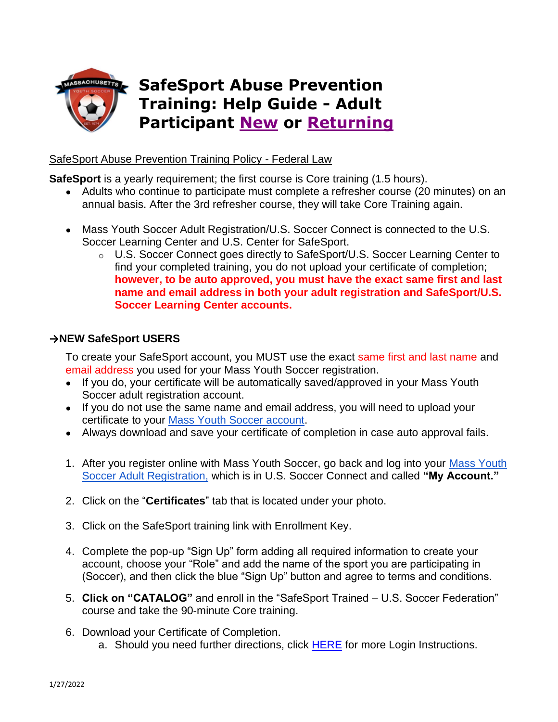

## SafeSport Abuse Prevention Training Policy - Federal Law

**SafeSport** is a yearly requirement; the first course is Core training (1.5 hours).

- Adults who continue to participate must complete a refresher course (20 minutes) on an annual basis. After the 3rd refresher course, they will take Core Training again.
- Mass Youth Soccer Adult Registration/U.S. Soccer Connect is connected to the U.S. Soccer Learning Center and U.S. Center for SafeSport.
	- o U.S. Soccer Connect goes directly to SafeSport/U.S. Soccer Learning Center to find your completed training, you do not upload your certificate of completion; **however, to be auto approved, you must have the exact same first and last name and email address in both your adult registration and SafeSport/U.S. Soccer Learning Center accounts.**

## <span id="page-0-0"></span>**→NEW SafeSport USERS**

To create your SafeSport account, you MUST use the exact same first and last name and email address you used for your Mass Youth Soccer registration.

- If you do, your certificate will be automatically saved/approved in your Mass Youth Soccer adult registration account.
- If you do not use the same name and email address, you will need to upload your certificate to your [Mass Youth Soccer account.](https://home.affinitysoccer.com/lib/cookie/deletesoccerdomain.aspx?adgsessionguid=6865297D-FDC9-4800-A7A7-BEF98975281F&returnurl=https%3A%2F%2Fmayouthsoccer%2Esportsaffinity%2Ecom%2Findex%2Easp%3Fsessionguid%3D3E7981DE%2D34AD%2D448E%2D9974%2DE96D9A42D3D8%26action%3Dlog%2Dout)
- Always download and save your certificate of completion in case auto approval fails.
- 1. After you register online with Mass Youth Soccer, go back and log into your [Mass Youth](https://mayouthsoccer.sportsaffinity.com/Foundation/Login.aspx?sessionguid=)  [Soccer Adult Registration,](https://mayouthsoccer.sportsaffinity.com/Foundation/Login.aspx?sessionguid=) which is in U.S. Soccer Connect and called **"My Account."**
- 2. Click on the "**Certificates**" tab that is located under your photo.
- 3. Click on the SafeSport training link with Enrollment Key.
- 4. Complete the pop-up "Sign Up" form adding all required information to create your account, choose your "Role" and add the name of the sport you are participating in (Soccer), and then click the blue "Sign Up" button and agree to terms and conditions.
- 5. **Click on "CATALOG"** and enroll in the "SafeSport Trained U.S. Soccer Federation" course and take the 90-minute Core training.
- 6. Download your Certificate of Completion.
	- a. Should you need further directions, click **HERE** for more Login Instructions.